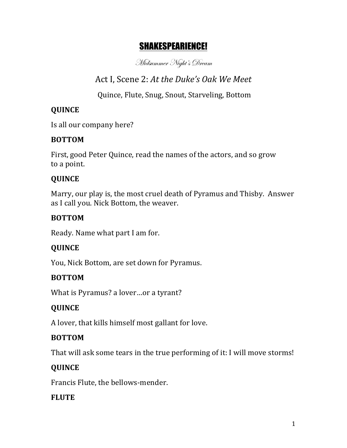# SHAKESPEARIENCE!

Midsummer Night's Dream

Act I, Scene 2: At the Duke's Oak We Meet

Quince, Flute, Snug, Snout, Starveling, Bottom

## **QUINCE**

Is all our company here?

### **BOTTOM**

First, good Peter Quince, read the names of the actors, and so grow to a point.

### **QUINCE**

Marry, our play is, the most cruel death of Pyramus and Thisby. Answer as I call you. Nick Bottom, the weaver.

### **BOTTOM**

Ready. Name what part I am for.

### **QUINCE**

You, Nick Bottom, are set down for Pyramus.

### **BOTTOM**

What is Pyramus? a lover...or a tyrant?

### **QUINCE**

A lover, that kills himself most gallant for love.

### **BOTTOM**

That will ask some tears in the true performing of it: I will move storms!

### **QUINCE**

Francis Flute, the bellows-mender.

### **FLUTE**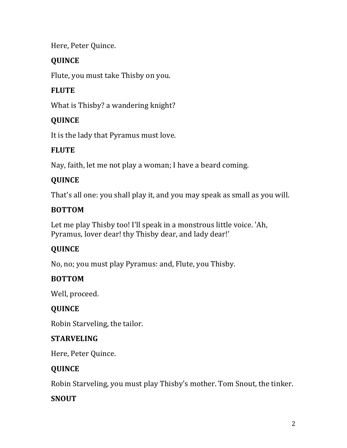#### Here, Peter Quince.

### **QUINCE**

Flute, you must take Thisby on you.

## **FLUTE**

What is Thisby? a wandering knight?

### **QUINCE**

It is the lady that Pyramus must love.

### **FLUTE**

Nay, faith, let me not play a woman; I have a beard coming.

## **QUINCE**

That's all one: you shall play it, and you may speak as small as you will.

### **BOTTOM**

Let me play Thisby too! I'll speak in a monstrous little voice. 'Ah, Pyramus, lover dear! thy Thisby dear, and lady dear!'

### **QUINCE**

No, no; you must play Pyramus: and, Flute, you Thisby.

### **BOTTOM**

Well, proceed.

### **QUINCE**

Robin Starveling, the tailor.

### **STARVELING**

Here, Peter Quince.

### **QUINCE**

Robin Starveling, you must play Thisby's mother. Tom Snout, the tinker.

### **SNOUT**